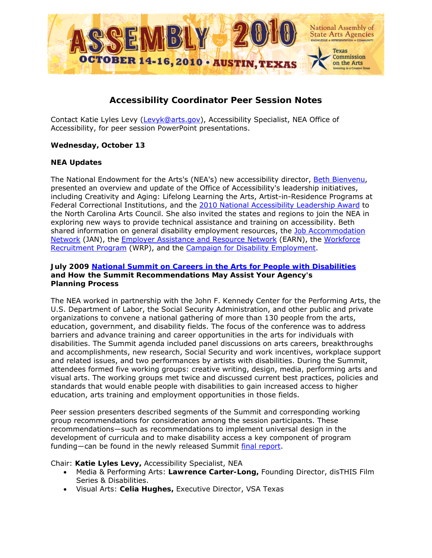

# **Accessibility Coordinator Peer Session Notes**

Contact Katie Lyles Levy [\(Levyk@arts.gov\)](mailto:Levyk@arts.gov), Accessibility Specialist, NEA Office of Accessibility, for peer session PowerPoint presentations.

## *Wednesday, October 13*

## **NEA Updates**

The National Endowment for the Arts's (NEA's) new accessibility director, [Beth Bienvenu,](http://www.arts.gov/news/news10/Beth-Bienvenu-NEA-appointment.html) presented an overview and update of the Office of Accessibility's leadership initiatives, including Creativity and Aging: Lifelong Learning the Arts, Artist-in-Residence Programs at Federal Correctional Institutions, and the [2010 National Accessibility Leadership Award](http://www.nea.gov/news/news10/national-accessibility-leadership-award.html) to the North Carolina Arts Council. She also invited the states and regions to join the NEA in exploring new ways to provide technical assistance and training on accessibility. Beth shared information on general disability employment resources, the [Job Accommodation](http://askjan.org/)  [Network](http://askjan.org/) (JAN), the [Employer Assistance and Resource Network](http://www.earnworks.com/) (EARN), the [Workforce](http://www.wrp.gov/)  [Recruitment Program](http://www.wrp.gov/) (WRP), and the [Campaign for Disability Employment.](http://www.whatcanyoudocampaign.org/)

### **July 2009 [National Summit on Careers in the Arts for People with Disabilities](http://artsedge.kennedy-center.org/2009NEASummit/index.html)  and How the Summit Recommendations May Assist Your Agency's Planning Process**

The NEA worked in partnership with the John F. Kennedy Center for the Performing Arts, the U.S. Department of Labor, the Social Security Administration, and other public and private organizations to convene a national gathering of more than 130 people from the arts, education, government, and disability fields. The focus of the conference was to address barriers and advance training and career opportunities in the arts for individuals with disabilities. The Summit agenda included panel discussions on arts careers, breakthroughs and accomplishments, new research, Social Security and work incentives, workplace support and related issues, and two performances by artists with disabilities. During the Summit, attendees formed five working groups: creative writing, design, media, performing arts and visual arts. The working groups met twice and discussed current best practices, policies and standards that would enable people with disabilities to gain increased access to higher education, arts training and employment opportunities in those fields.

Peer session presenters described segments of the Summit and corresponding working group recommendations for consideration among the session participants. These recommendations―such as recommendations to implement universal design in the development of curricula and to make disability access a key component of program funding―can be found in the newly released Summit [final report.](http://www.arts.gov/resources/Accessibility/NEA-Career-Summit.pdf)

Chair: **Katie Lyles Levy,** Accessibility Specialist, NEA

- Media & Performing Arts: **Lawrence Carter-Long,** Founding Director, disTHIS Film Series & Disabilities.
- Visual Arts: **Celia Hughes,** Executive Director, VSA Texas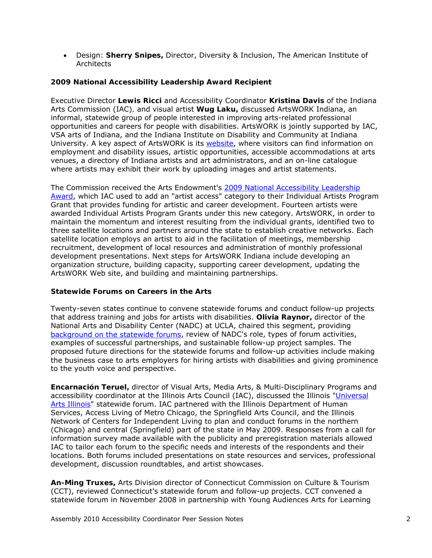• Design: **Sherry Snipes,** Director, Diversity & Inclusion, The American Institute of Architects

## **2009 National Accessibility Leadership Award Recipient**

Executive Director **Lewis Ricci** and Accessibility Coordinator **Kristina Davis** of the Indiana Arts Commission (IAC)*,* and visual artist **Wug Laku,** discussed ArtsWORK Indiana, an informal, statewide group of people interested in improving arts-related professional opportunities and careers for people with disabilities. ArtsWORK is jointly supported by IAC, VSA arts of Indiana, and the Indiana Institute on Disability and Community at Indiana University. A key aspect of ArtsWORK is its [website,](http://www.artsworkindiana.org/) where visitors can find information on employment and disability issues, artistic opportunities, accessible accommodations at arts venues, a directory of Indiana artists and art administrators, and an on-line catalogue where artists may exhibit their work by uploading images and artist statements.

The Commission received the Arts Endowment's [2009 National Accessibility Leadership](http://www.nea.gov/news/news09/accessibility-award.html)  [Award,](http://www.nea.gov/news/news09/accessibility-award.html) which IAC used to add an "artist access" category to their Individual Artists Program Grant that provides funding for artistic and career development. Fourteen artists were awarded Individual Artists Program Grants under this new category. ArtsWORK, in order to maintain the momentum and interest resulting from the individual grants, identified two to three satellite locations and partners around the state to establish creative networks. Each satellite location employs an artist to aid in the facilitation of meetings, membership recruitment, development of local resources and administration of monthly professional development presentations. Next steps for ArtsWORK Indiana include developing an organization structure, building capacity, supporting career development, updating the ArtsWORK Web site, and building and maintaining partnerships.

### **Statewide Forums on Careers in the Arts**

Twenty-seven states continue to convene statewide forums and conduct follow-up projects that address training and jobs for artists with disabilities. **Olivia Raynor,** director of the National Arts and Disability Center (NADC) at UCLA, chaired this segment, providing [background on the statewide forums,](http://nadc.ucla.edu/statewideforum.cfm) review of NADC's role, types of forum activities, examples of successful partnerships, and sustainable follow-up project samples. The proposed future directions for the statewide forums and follow-up activities include making the business case to arts employers for hiring artists with disabilities and giving prominence to the youth voice and perspective.

**Encarnación Teruel,** director of Visual Arts, Media Arts, & Multi-Disciplinary Programs and accessibility coordinator at the Illinois Arts Council (IAC), discussed the Illinois "[Universal](http://www.illinois.gov/PressReleases/ShowPressRelease.cfm?SubjectID=70&RecNum=7449)  [Arts Illinois](http://www.illinois.gov/PressReleases/ShowPressRelease.cfm?SubjectID=70&RecNum=7449)" statewide forum. IAC partnered with the Illinois Department of Human Services, Access Living of Metro Chicago, the Springfield Arts Council, and the Illinois Network of Centers for Independent Living to plan and conduct forums in the northern (Chicago) and central (Springfield) part of the state in May 2009. Responses from a call for information survey made available with the publicity and preregistration materials allowed IAC to tailor each forum to the specific needs and interests of the respondents and their locations. Both forums included presentations on state resources and services, professional development, discussion roundtables, and artist showcases.

**An-Ming Truxes,** Arts Division director of Connecticut Commission on Culture & Tourism (CCT), reviewed Connecticut's statewide forum and follow-up projects. CCT convened a statewide forum in November 2008 in partnership with Young Audiences Arts for Learning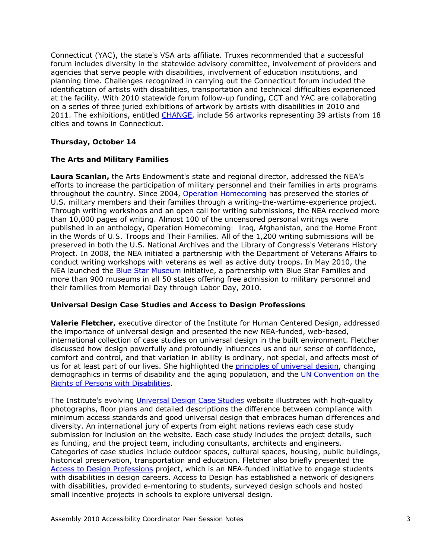Connecticut (YAC), the state's VSA arts affiliate. Truxes recommended that a successful forum includes diversity in the statewide advisory committee, involvement of providers and agencies that serve people with disabilities, involvement of education institutions, and planning time. Challenges recognized in carrying out the Connecticut forum included the identification of artists with disabilities, transportation and technical difficulties experienced at the facility. With 2010 statewide forum follow-up funding, CCT and YAC are collaborating on a series of three juried exhibitions of artwork by artists with disabilities in 2010 and 2011. The exhibitions, entitled [CHANGE](http://www.ct.gov/cct/lib/cct/arts/artists_with_disabilitiy_exhibition/changebrochure.pdf), include 56 artworks representing 39 artists from 18 cities and towns in Connecticut.

### *Thursday, October 14*

### **The Arts and Military Families**

**Laura Scanlan,** the Arts Endowment's state and regional director, addressed the NEA's efforts to increase the participation of military personnel and their families in arts programs throughout the country. Since 2004, [Operation Homecoming](http://www.nea.gov/national/homecoming/index.html) has preserved the stories of U.S. military members and their families through a writing-the-wartime-experience project. Through writing workshops and an open call for writing submissions, the NEA received more than 10,000 pages of writing. Almost 100 of the uncensored personal writings were published in an anthology, *Operation Homecoming: Iraq, Afghanistan, and the Home Front in the Words of U.S. Troops and Their Families*. All of the 1,200 writing submissions will be preserved in both the U.S. National Archives and the Library of Congress's Veterans History Project. In 2008, the NEA initiated a partnership with the Department of Veterans Affairs to conduct writing workshops with veterans as well as active duty troops. In May 2010, the NEA launched the [Blue Star Museum](http://www.arts.gov/national/bluestarmuseums/index.html) initiative, a partnership with Blue Star Families and more than 900 museums in all 50 states offering free admission to military personnel and their families from Memorial Day through Labor Day, 2010.

### **Universal Design Case Studies and Access to Design Professions**

**Valerie Fletcher,** executive director of the Institute for Human Centered Design, addressed the importance of universal design and presented the new NEA-funded, web-based, international collection of case studies on universal design in the built environment. Fletcher discussed how design powerfully and profoundly influences us and our sense of confidence, comfort and control, and that variation in ability is ordinary, not special, and affects most of us for at least part of our lives. She highlighted the [principles of universal design,](http://www.adaptenv.org/index.php?option=Content&Itemid=25) changing demographics in terms of disability and the aging population, and the [UN Convention on the](http://www.un.org/disabilities/)  [Rights of Persons with Disabilities](http://www.un.org/disabilities/).

The Institute's evolving [Universal Design Case Studies](http://www.udcasestudies.org/) website illustrates with high-quality photographs, floor plans and detailed descriptions the difference between compliance with minimum access standards and good universal design that embraces human differences and diversity. An international jury of experts from eight nations reviews each case study submission for inclusion on the website. Each case study includes the project details, such as funding, and the project team, including consultants, architects and engineers. Categories of case studies include outdoor spaces, cultural spaces, housing, public buildings, historical preservation, transportation and education. Fletcher also briefly presented the [Access to Design Professions](http://www.adaptenv.org/index.php?Itemid=37&option=Project) project, which is an NEA-funded initiative to engage students with disabilities in design careers. Access to Design has established a network of designers with disabilities, provided e-mentoring to students, surveyed design schools and hosted small incentive projects in schools to explore universal design.